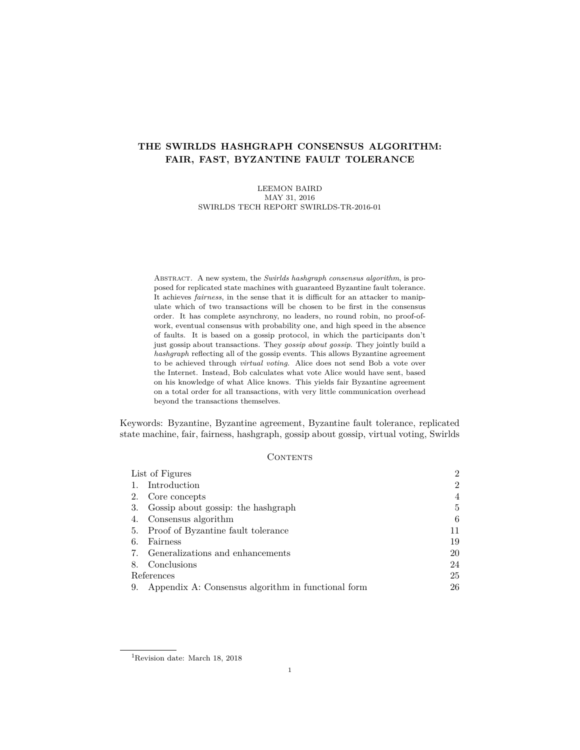# **THE SWIRLDS HASHGRAPH CONSENSUS ALGORITHM: FAIR, FAST, BYZANTINE FAULT TOLERANCE**

LEEMON BAIRD MAY 31, 2016 SWIRLDS TECH REPORT SWIRLDS-TR-2016-01

Abstract. A new system, the *Swirlds hashgraph consensus algorithm*, is proposed for replicated state machines with guaranteed Byzantine fault tolerance. It achieves *fairness*, in the sense that it is difficult for an attacker to manipulate which of two transactions will be chosen to be first in the consensus order. It has complete asynchrony, no leaders, no round robin, no proof-ofwork, eventual consensus with probability one, and high speed in the absence of faults. It is based on a gossip protocol, in which the participants don't just gossip about transactions. They *gossip about gossip*. They jointly build a *hashgraph* reflecting all of the gossip events. This allows Byzantine agreement to be achieved through *virtual voting*. Alice does not send Bob a vote over the Internet. Instead, Bob calculates what vote Alice would have sent, based on his knowledge of what Alice knows. This yields fair Byzantine agreement on a total order for all transactions, with very little communication overhead beyond the transactions themselves.

Keywords: Byzantine, Byzantine agreement, Byzantine fault tolerance, replicated state machine, fair, fairness, hashgraph, gossip about gossip, virtual voting, Swirlds

#### **CONTENTS**

|            | List of Figures                                    |                |  |
|------------|----------------------------------------------------|----------------|--|
|            | Introduction                                       | $\overline{2}$ |  |
| 2.         | Core concepts                                      | 4              |  |
| 3.         | Gossip about gossip: the hashgraph                 | 5              |  |
| 4.         | Consensus algorithm                                | 6              |  |
| 5.         | Proof of Byzantine fault tolerance                 | 11             |  |
| 6.         | Fairness                                           | 19             |  |
| 7.         | Generalizations and enhancements                   | 20             |  |
| 8.         | Conclusions                                        | 24             |  |
| References |                                                    |                |  |
| 9.         | Appendix A: Consensus algorithm in functional form | 26             |  |

<sup>1</sup>Revision date: March 18, 2018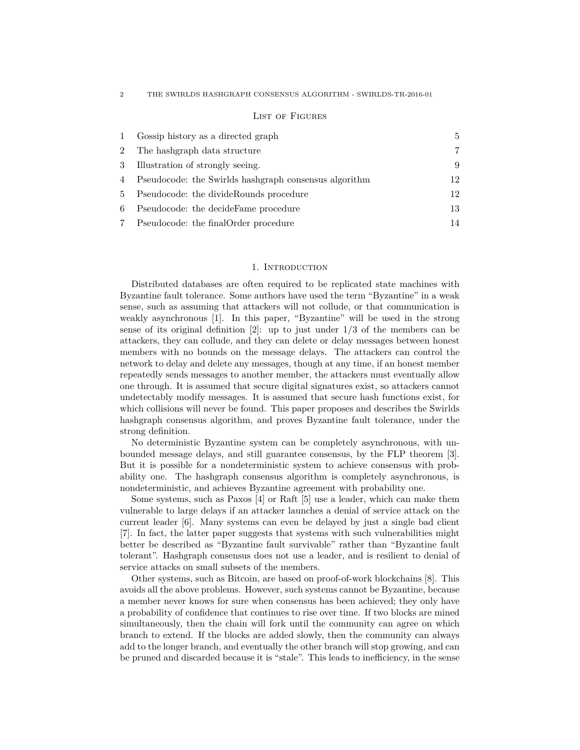## List of Figures

| $\mathbf{1}$ | Gossip history as a directed graph                    | 5  |
|--------------|-------------------------------------------------------|----|
| 2            | The hashgraph data structure                          | 7  |
| 3            | Illustration of strongly seeing.                      | 9  |
| 4            | Pseudocode: the Swirlds hashgraph consensus algorithm | 12 |
| 5            | Pseudocode: the divideRounds procedure                | 12 |
| 6            | Pseudocode: the decideFame procedure                  | 13 |
|              | Pseudocode: the final Order procedure                 | 14 |

## 1. INTRODUCTION

Distributed databases are often required to be replicated state machines with Byzantine fault tolerance. Some authors have used the term "Byzantine" in a weak sense, such as assuming that attackers will not collude, or that communication is weakly asynchronous [1]. In this paper, "Byzantine" will be used in the strong sense of its original definition  $[2]$ : up to just under  $1/3$  of the members can be attackers, they can collude, and they can delete or delay messages between honest members with no bounds on the message delays. The attackers can control the network to delay and delete any messages, though at any time, if an honest member repeatedly sends messages to another member, the attackers must eventually allow one through. It is assumed that secure digital signatures exist, so attackers cannot undetectably modify messages. It is assumed that secure hash functions exist, for which collisions will never be found. This paper proposes and describes the Swirlds hashgraph consensus algorithm, and proves Byzantine fault tolerance, under the strong definition.

No deterministic Byzantine system can be completely asynchronous, with unbounded message delays, and still guarantee consensus, by the FLP theorem [3]. But it is possible for a nondeterministic system to achieve consensus with probability one. The hashgraph consensus algorithm is completely asynchronous, is nondeterministic, and achieves Byzantine agreement with probability one.

Some systems, such as Paxos [4] or Raft [5] use a leader, which can make them vulnerable to large delays if an attacker launches a denial of service attack on the current leader [6]. Many systems can even be delayed by just a single bad client [7]. In fact, the latter paper suggests that systems with such vulnerabilities might better be described as "Byzantine fault survivable" rather than "Byzantine fault tolerant". Hashgraph consensus does not use a leader, and is resilient to denial of service attacks on small subsets of the members.

Other systems, such as Bitcoin, are based on proof-of-work blockchains [8]. This avoids all the above problems. However, such systems cannot be Byzantine, because a member never knows for sure when consensus has been achieved; they only have a probability of confidence that continues to rise over time. If two blocks are mined simultaneously, then the chain will fork until the community can agree on which branch to extend. If the blocks are added slowly, then the community can always add to the longer branch, and eventually the other branch will stop growing, and can be pruned and discarded because it is "stale". This leads to inefficiency, in the sense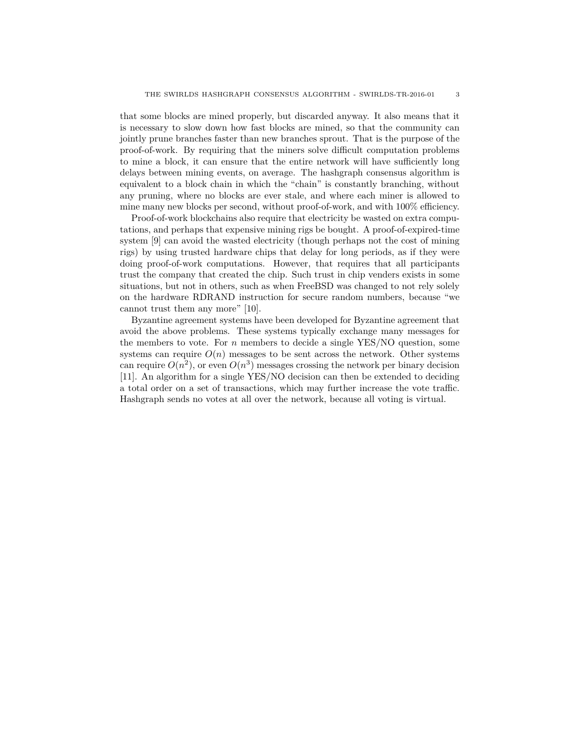that some blocks are mined properly, but discarded anyway. It also means that it is necessary to slow down how fast blocks are mined, so that the community can jointly prune branches faster than new branches sprout. That is the purpose of the proof-of-work. By requiring that the miners solve difficult computation problems to mine a block, it can ensure that the entire network will have sufficiently long delays between mining events, on average. The hashgraph consensus algorithm is equivalent to a block chain in which the "chain" is constantly branching, without any pruning, where no blocks are ever stale, and where each miner is allowed to mine many new blocks per second, without proof-of-work, and with 100% efficiency.

Proof-of-work blockchains also require that electricity be wasted on extra computations, and perhaps that expensive mining rigs be bought. A proof-of-expired-time system [9] can avoid the wasted electricity (though perhaps not the cost of mining rigs) by using trusted hardware chips that delay for long periods, as if they were doing proof-of-work computations. However, that requires that all participants trust the company that created the chip. Such trust in chip venders exists in some situations, but not in others, such as when FreeBSD was changed to not rely solely on the hardware RDRAND instruction for secure random numbers, because "we cannot trust them any more" [10].

Byzantine agreement systems have been developed for Byzantine agreement that avoid the above problems. These systems typically exchange many messages for the members to vote. For *n* members to decide a single YES/NO question, some systems can require  $O(n)$  messages to be sent across the network. Other systems can require  $O(n^2)$ , or even  $O(n^3)$  messages crossing the network per binary decision [11]. An algorithm for a single YES/NO decision can then be extended to deciding a total order on a set of transactions, which may further increase the vote traffic. Hashgraph sends no votes at all over the network, because all voting is virtual.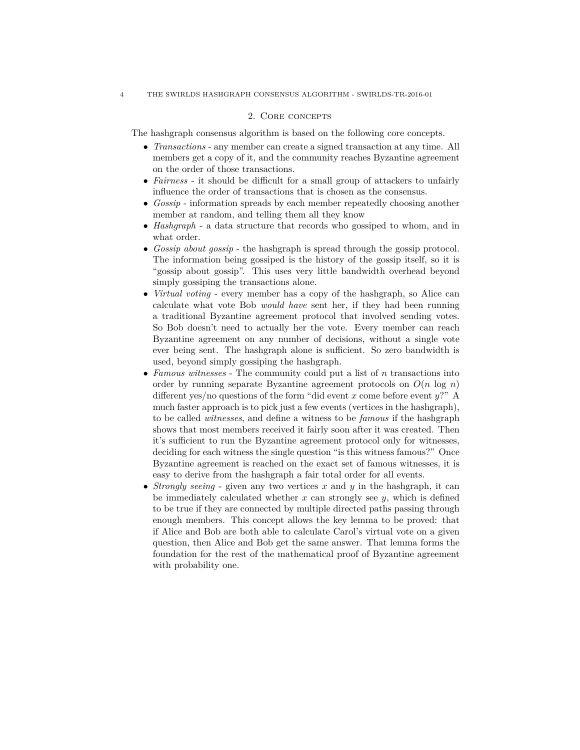## 2. Core concepts

The hashgraph consensus algorithm is based on the following core concepts.

- *Transactions* any member can create a signed transaction at any time. All members get a copy of it, and the community reaches Byzantine agreement on the order of those transactions.
- *Fairness* it should be difficult for a small group of attackers to unfairly influence the order of transactions that is chosen as the consensus.
- *Gossip* information spreads by each member repeatedly choosing another member at random, and telling them all they know
- *Hashgraph* a data structure that records who gossiped to whom, and in what order.
- *Gossip about gossip* the hashgraph is spread through the gossip protocol. The information being gossiped is the history of the gossip itself, so it is "gossip about gossip". This uses very little bandwidth overhead beyond simply gossiping the transactions alone.
- *Virtual voting* every member has a copy of the hashgraph, so Alice can calculate what vote Bob *would have* sent her, if they had been running a traditional Byzantine agreement protocol that involved sending votes. So Bob doesn't need to actually her the vote. Every member can reach Byzantine agreement on any number of decisions, without a single vote ever being sent. The hashgraph alone is sufficient. So zero bandwidth is used, beyond simply gossiping the hashgraph.
- *Famous witnesses* The community could put a list of *n* transactions into order by running separate Byzantine agreement protocols on  $O(n \log n)$ different yes/no questions of the form "did event *x* come before event *y*?" A much faster approach is to pick just a few events (vertices in the hashgraph), to be called *witnesses*, and define a witness to be *famous* if the hashgraph shows that most members received it fairly soon after it was created. Then it's sufficient to run the Byzantine agreement protocol only for witnesses, deciding for each witness the single question "is this witness famous?" Once Byzantine agreement is reached on the exact set of famous witnesses, it is easy to derive from the hashgraph a fair total order for all events.
- *Strongly seeing* given any two vertices *x* and *y* in the hashgraph, it can be immediately calculated whether *x* can strongly see *y*, which is defined to be true if they are connected by multiple directed paths passing through enough members. This concept allows the key lemma to be proved: that if Alice and Bob are both able to calculate Carol's virtual vote on a given question, then Alice and Bob get the same answer. That lemma forms the foundation for the rest of the mathematical proof of Byzantine agreement with probability one.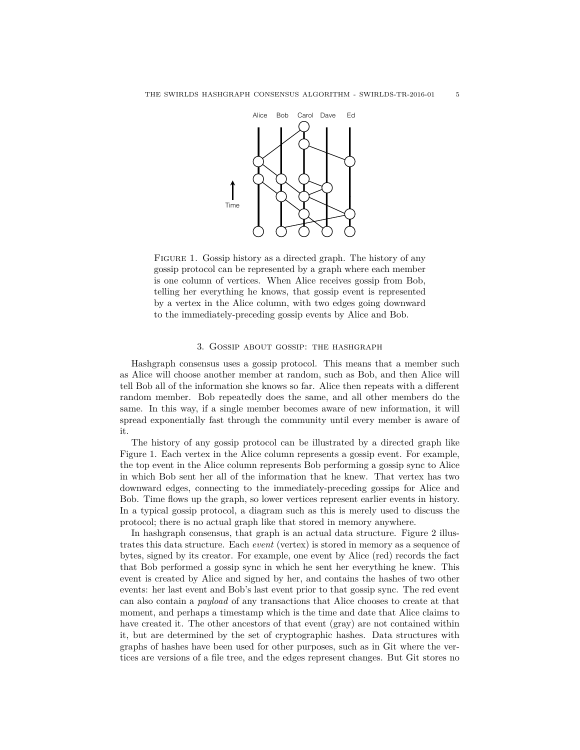

FIGURE 1. Gossip history as a directed graph. The history of any gossip protocol can be represented by a graph where each member is one column of vertices. When Alice receives gossip from Bob, telling her everything he knows, that gossip event is represented by a vertex in the Alice column, with two edges going downward to the immediately-preceding gossip events by Alice and Bob.

#### 3. Gossip about gossip: the hashgraph

Hashgraph consensus uses a gossip protocol. This means that a member such as Alice will choose another member at random, such as Bob, and then Alice will tell Bob all of the information she knows so far. Alice then repeats with a different random member. Bob repeatedly does the same, and all other members do the same. In this way, if a single member becomes aware of new information, it will spread exponentially fast through the community until every member is aware of it.

The history of any gossip protocol can be illustrated by a directed graph like Figure 1. Each vertex in the Alice column represents a gossip event. For example, the top event in the Alice column represents Bob performing a gossip sync to Alice in which Bob sent her all of the information that he knew. That vertex has two downward edges, connecting to the immediately-preceding gossips for Alice and Bob. Time flows up the graph, so lower vertices represent earlier events in history. In a typical gossip protocol, a diagram such as this is merely used to discuss the protocol; there is no actual graph like that stored in memory anywhere.

In hashgraph consensus, that graph is an actual data structure. Figure 2 illustrates this data structure. Each *event* (vertex) is stored in memory as a sequence of bytes, signed by its creator. For example, one event by Alice (red) records the fact that Bob performed a gossip sync in which he sent her everything he knew. This event is created by Alice and signed by her, and contains the hashes of two other events: her last event and Bob's last event prior to that gossip sync. The red event can also contain a *payload* of any transactions that Alice chooses to create at that moment, and perhaps a timestamp which is the time and date that Alice claims to have created it. The other ancestors of that event (gray) are not contained within it, but are determined by the set of cryptographic hashes. Data structures with graphs of hashes have been used for other purposes, such as in Git where the vertices are versions of a file tree, and the edges represent changes. But Git stores no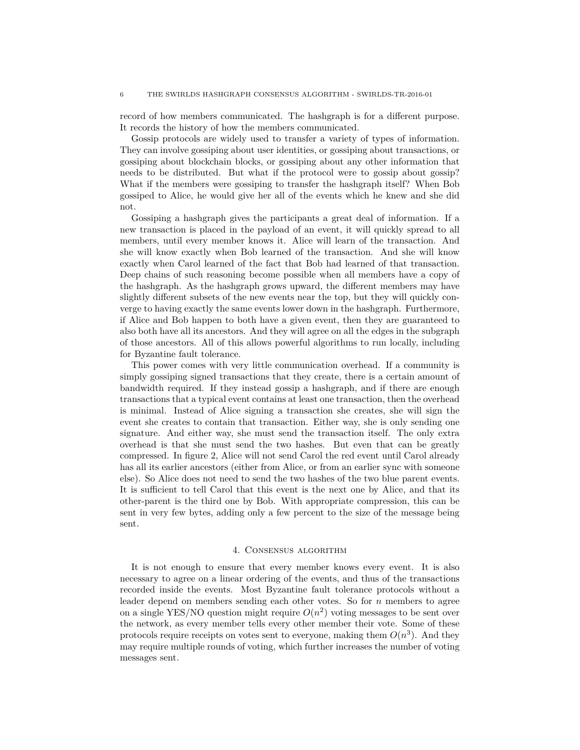record of how members communicated. The hashgraph is for a different purpose. It records the history of how the members communicated.

Gossip protocols are widely used to transfer a variety of types of information. They can involve gossiping about user identities, or gossiping about transactions, or gossiping about blockchain blocks, or gossiping about any other information that needs to be distributed. But what if the protocol were to gossip about gossip? What if the members were gossiping to transfer the hashgraph itself? When Bob gossiped to Alice, he would give her all of the events which he knew and she did not.

Gossiping a hashgraph gives the participants a great deal of information. If a new transaction is placed in the payload of an event, it will quickly spread to all members, until every member knows it. Alice will learn of the transaction. And she will know exactly when Bob learned of the transaction. And she will know exactly when Carol learned of the fact that Bob had learned of that transaction. Deep chains of such reasoning become possible when all members have a copy of the hashgraph. As the hashgraph grows upward, the different members may have slightly different subsets of the new events near the top, but they will quickly converge to having exactly the same events lower down in the hashgraph. Furthermore, if Alice and Bob happen to both have a given event, then they are guaranteed to also both have all its ancestors. And they will agree on all the edges in the subgraph of those ancestors. All of this allows powerful algorithms to run locally, including for Byzantine fault tolerance.

This power comes with very little communication overhead. If a community is simply gossiping signed transactions that they create, there is a certain amount of bandwidth required. If they instead gossip a hashgraph, and if there are enough transactions that a typical event contains at least one transaction, then the overhead is minimal. Instead of Alice signing a transaction she creates, she will sign the event she creates to contain that transaction. Either way, she is only sending one signature. And either way, she must send the transaction itself. The only extra overhead is that she must send the two hashes. But even that can be greatly compressed. In figure 2, Alice will not send Carol the red event until Carol already has all its earlier ancestors (either from Alice, or from an earlier sync with someone else). So Alice does not need to send the two hashes of the two blue parent events. It is sufficient to tell Carol that this event is the next one by Alice, and that its other-parent is the third one by Bob. With appropriate compression, this can be sent in very few bytes, adding only a few percent to the size of the message being sent.

## 4. Consensus algorithm

It is not enough to ensure that every member knows every event. It is also necessary to agree on a linear ordering of the events, and thus of the transactions recorded inside the events. Most Byzantine fault tolerance protocols without a leader depend on members sending each other votes. So for *n* members to agree on a single YES/NO question might require  $O(n^2)$  voting messages to be sent over the network, as every member tells every other member their vote. Some of these protocols require receipts on votes sent to everyone, making them  $O(n^3)$ . And they may require multiple rounds of voting, which further increases the number of voting messages sent.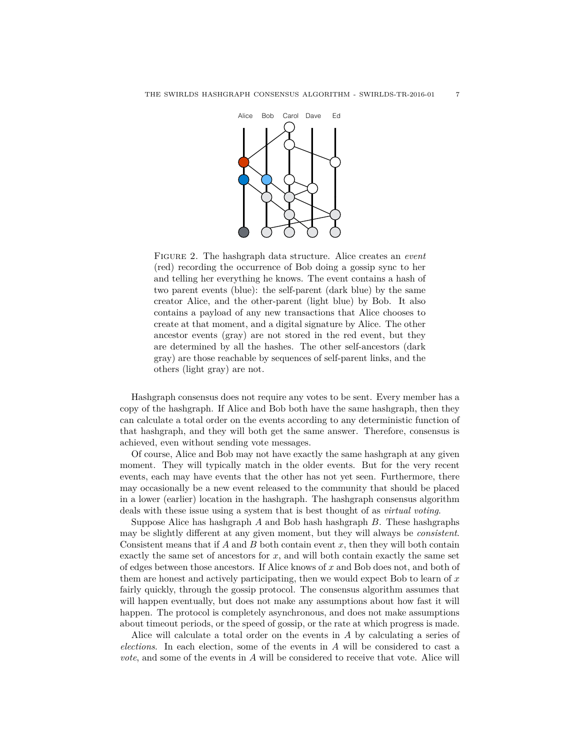

Figure 2. The hashgraph data structure. Alice creates an *event* (red) recording the occurrence of Bob doing a gossip sync to her and telling her everything he knows. The event contains a hash of two parent events (blue): the self-parent (dark blue) by the same creator Alice, and the other-parent (light blue) by Bob. It also contains a payload of any new transactions that Alice chooses to create at that moment, and a digital signature by Alice. The other ancestor events (gray) are not stored in the red event, but they are determined by all the hashes. The other self-ancestors (dark gray) are those reachable by sequences of self-parent links, and the others (light gray) are not.

Hashgraph consensus does not require any votes to be sent. Every member has a copy of the hashgraph. If Alice and Bob both have the same hashgraph, then they can calculate a total order on the events according to any deterministic function of that hashgraph, and they will both get the same answer. Therefore, consensus is achieved, even without sending vote messages.

Of course, Alice and Bob may not have exactly the same hashgraph at any given moment. They will typically match in the older events. But for the very recent events, each may have events that the other has not yet seen. Furthermore, there may occasionally be a new event released to the community that should be placed in a lower (earlier) location in the hashgraph. The hashgraph consensus algorithm deals with these issue using a system that is best thought of as *virtual voting*.

Suppose Alice has hashgraph *A* and Bob hash hashgraph *B*. These hashgraphs may be slightly different at any given moment, but they will always be *consistent*. Consistent means that if *A* and *B* both contain event *x*, then they will both contain exactly the same set of ancestors for *x*, and will both contain exactly the same set of edges between those ancestors. If Alice knows of *x* and Bob does not, and both of them are honest and actively participating, then we would expect Bob to learn of *x* fairly quickly, through the gossip protocol. The consensus algorithm assumes that will happen eventually, but does not make any assumptions about how fast it will happen. The protocol is completely asynchronous, and does not make assumptions about timeout periods, or the speed of gossip, or the rate at which progress is made.

Alice will calculate a total order on the events in *A* by calculating a series of *elections*. In each election, some of the events in *A* will be considered to cast a *vote*, and some of the events in *A* will be considered to receive that vote. Alice will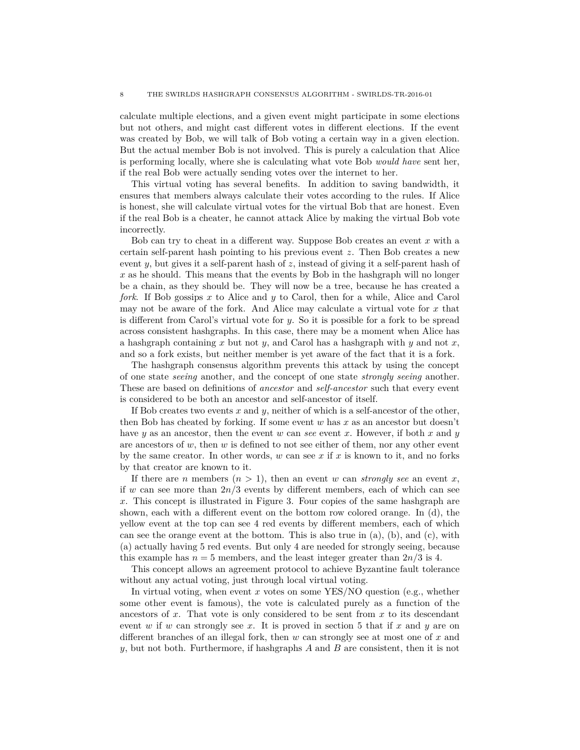calculate multiple elections, and a given event might participate in some elections but not others, and might cast different votes in different elections. If the event was created by Bob, we will talk of Bob voting a certain way in a given election. But the actual member Bob is not involved. This is purely a calculation that Alice is performing locally, where she is calculating what vote Bob *would have* sent her, if the real Bob were actually sending votes over the internet to her.

This virtual voting has several benefits. In addition to saving bandwidth, it ensures that members always calculate their votes according to the rules. If Alice is honest, she will calculate virtual votes for the virtual Bob that are honest. Even if the real Bob is a cheater, he cannot attack Alice by making the virtual Bob vote incorrectly.

Bob can try to cheat in a different way. Suppose Bob creates an event *x* with a certain self-parent hash pointing to his previous event *z*. Then Bob creates a new event *y*, but gives it a self-parent hash of *z*, instead of giving it a self-parent hash of *x* as he should. This means that the events by Bob in the hashgraph will no longer be a chain, as they should be. They will now be a tree, because he has created a *fork*. If Bob gossips *x* to Alice and *y* to Carol, then for a while, Alice and Carol may not be aware of the fork. And Alice may calculate a virtual vote for *x* that is different from Carol's virtual vote for *y*. So it is possible for a fork to be spread across consistent hashgraphs. In this case, there may be a moment when Alice has a hashgraph containing *x* but not *y*, and Carol has a hashgraph with *y* and not *x*, and so a fork exists, but neither member is yet aware of the fact that it is a fork.

The hashgraph consensus algorithm prevents this attack by using the concept of one state *seeing* another, and the concept of one state *strongly seeing* another. These are based on definitions of *ancestor* and *self-ancestor* such that every event is considered to be both an ancestor and self-ancestor of itself.

If Bob creates two events *x* and *y*, neither of which is a self-ancestor of the other, then Bob has cheated by forking. If some event *w* has *x* as an ancestor but doesn't have *y* as an ancestor, then the event *w* can *see* event *x*. However, if both *x* and *y* are ancestors of *w*, then *w* is defined to not see either of them, nor any other event by the same creator. In other words, *w* can see *x* if *x* is known to it, and no forks by that creator are known to it.

If there are *n* members  $(n > 1)$ , then an event *w* can *strongly see* an event *x*, if *w* can see more than  $2n/3$  events by different members, each of which can see *x*. This concept is illustrated in Figure 3. Four copies of the same hashgraph are shown, each with a different event on the bottom row colored orange. In (d), the yellow event at the top can see 4 red events by different members, each of which can see the orange event at the bottom. This is also true in  $(a)$ ,  $(b)$ , and  $(c)$ , with (a) actually having 5 red events. But only 4 are needed for strongly seeing, because this example has  $n = 5$  members, and the least integer greater than  $2n/3$  is 4.

This concept allows an agreement protocol to achieve Byzantine fault tolerance without any actual voting, just through local virtual voting.

In virtual voting, when event *x* votes on some YES/NO question (e.g., whether some other event is famous), the vote is calculated purely as a function of the ancestors of *x*. That vote is only considered to be sent from *x* to its descendant event *w* if *w* can strongly see *x*. It is proved in section 5 that if *x* and *y* are on different branches of an illegal fork, then *w* can strongly see at most one of *x* and *y*, but not both. Furthermore, if hashgraphs *A* and *B* are consistent, then it is not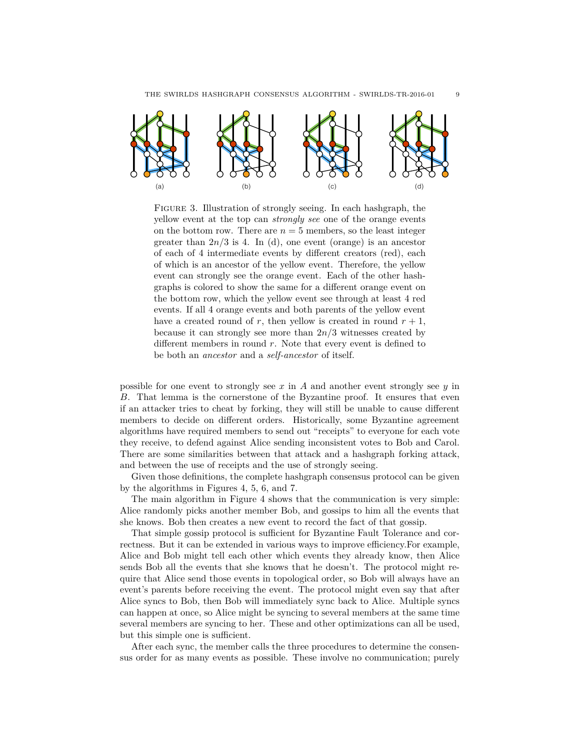

Figure 3. Illustration of strongly seeing. In each hashgraph, the yellow event at the top can *strongly see* one of the orange events on the bottom row. There are  $n = 5$  members, so the least integer greater than  $2n/3$  is 4. In (d), one event (orange) is an ancestor of each of 4 intermediate events by different creators (red), each of which is an ancestor of the yellow event. Therefore, the yellow event can strongly see the orange event. Each of the other hashgraphs is colored to show the same for a different orange event on the bottom row, which the yellow event see through at least 4 red events. If all 4 orange events and both parents of the yellow event have a created round of *r*, then yellow is created in round  $r + 1$ , because it can strongly see more than 2*n/*3 witnesses created by different members in round *r*. Note that every event is defined to be both an *ancestor* and a *self-ancestor* of itself.

possible for one event to strongly see *x* in *A* and another event strongly see *y* in *B*. That lemma is the cornerstone of the Byzantine proof. It ensures that even if an attacker tries to cheat by forking, they will still be unable to cause different members to decide on different orders. Historically, some Byzantine agreement algorithms have required members to send out "receipts" to everyone for each vote they receive, to defend against Alice sending inconsistent votes to Bob and Carol. There are some similarities between that attack and a hashgraph forking attack, and between the use of receipts and the use of strongly seeing.

Given those definitions, the complete hashgraph consensus protocol can be given by the algorithms in Figures 4, 5, 6, and 7.

The main algorithm in Figure 4 shows that the communication is very simple: Alice randomly picks another member Bob, and gossips to him all the events that she knows. Bob then creates a new event to record the fact of that gossip.

That simple gossip protocol is sufficient for Byzantine Fault Tolerance and correctness. But it can be extended in various ways to improve efficiency.For example, Alice and Bob might tell each other which events they already know, then Alice sends Bob all the events that she knows that he doesn't. The protocol might require that Alice send those events in topological order, so Bob will always have an event's parents before receiving the event. The protocol might even say that after Alice syncs to Bob, then Bob will immediately sync back to Alice. Multiple syncs can happen at once, so Alice might be syncing to several members at the same time several members are syncing to her. These and other optimizations can all be used, but this simple one is sufficient.

After each sync, the member calls the three procedures to determine the consensus order for as many events as possible. These involve no communication; purely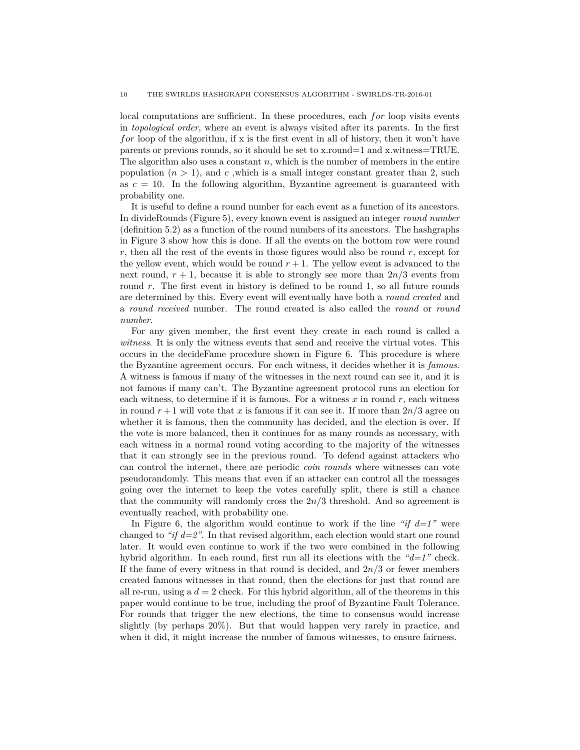local computations are sufficient. In these procedures, each *for* loop visits events in *topological order*, where an event is always visited after its parents. In the first *for* loop of the algorithm, if x is the first event in all of history, then it won't have parents or previous rounds, so it should be set to x.round=1 and x.witness=TRUE. The algorithm also uses a constant *n*, which is the number of members in the entire population  $(n > 1)$ , and c, which is a small integer constant greater than 2, such as  $c = 10$ . In the following algorithm, Byzantine agreement is guaranteed with probability one.

It is useful to define a round number for each event as a function of its ancestors. In divideRounds (Figure 5), every known event is assigned an integer *round number* (definition 5.2) as a function of the round numbers of its ancestors. The hashgraphs in Figure 3 show how this is done. If all the events on the bottom row were round *r*, then all the rest of the events in those figures would also be round *r*, except for the yellow event, which would be round  $r + 1$ . The yellow event is advanced to the next round,  $r + 1$ , because it is able to strongly see more than  $2n/3$  events from round *r*. The first event in history is defined to be round 1, so all future rounds are determined by this. Every event will eventually have both a *round created* and a *round received* number. The round created is also called the *round* or *round number*.

For any given member, the first event they create in each round is called a *witness*. It is only the witness events that send and receive the virtual votes. This occurs in the decideFame procedure shown in Figure 6. This procedure is where the Byzantine agreement occurs. For each witness, it decides whether it is *famous*. A witness is famous if many of the witnesses in the next round can see it, and it is not famous if many can't. The Byzantine agreement protocol runs an election for each witness, to determine if it is famous. For a witness  $x$  in round  $r$ , each witness in round  $r + 1$  will vote that x is famous if it can see it. If more than  $2n/3$  agree on whether it is famous, then the community has decided, and the election is over. If the vote is more balanced, then it continues for as many rounds as necessary, with each witness in a normal round voting according to the majority of the witnesses that it can strongly see in the previous round. To defend against attackers who can control the internet, there are periodic *coin rounds* where witnesses can vote pseudorandomly. This means that even if an attacker can control all the messages going over the internet to keep the votes carefully split, there is still a chance that the community will randomly cross the 2*n/*3 threshold. And so agreement is eventually reached, with probability one.

In Figure 6, the algorithm would continue to work if the line *"if*  $d=1$ *"* were changed to *"if d=2"*. In that revised algorithm, each election would start one round later. It would even continue to work if the two were combined in the following hybrid algorithm. In each round, first run all its elections with the *"d=1"* check. If the fame of every witness in that round is decided, and 2*n/*3 or fewer members created famous witnesses in that round, then the elections for just that round are all re-run, using a  $d = 2$  check. For this hybrid algorithm, all of the theorems in this paper would continue to be true, including the proof of Byzantine Fault Tolerance. For rounds that trigger the new elections, the time to consensus would increase slightly (by perhaps 20%). But that would happen very rarely in practice, and when it did, it might increase the number of famous witnesses, to ensure fairness.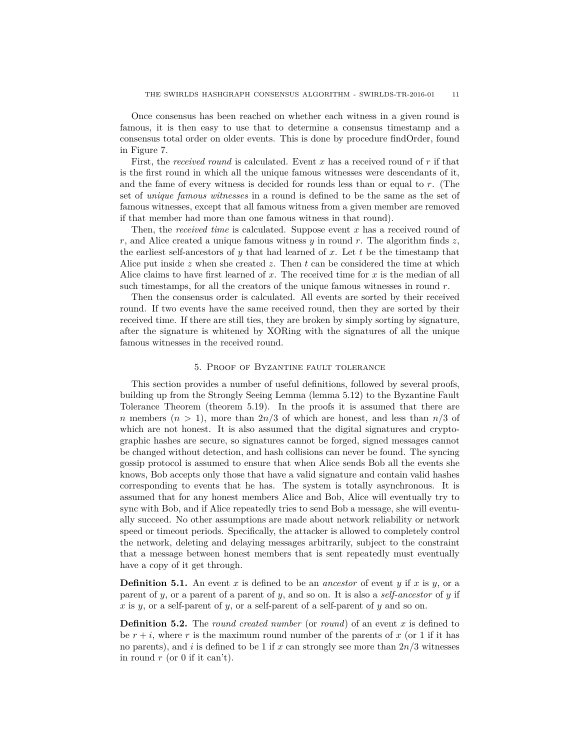Once consensus has been reached on whether each witness in a given round is famous, it is then easy to use that to determine a consensus timestamp and a consensus total order on older events. This is done by procedure findOrder, found in Figure 7.

First, the *received round* is calculated. Event *x* has a received round of *r* if that is the first round in which all the unique famous witnesses were descendants of it, and the fame of every witness is decided for rounds less than or equal to *r*. (The set of *unique famous witnesses* in a round is defined to be the same as the set of famous witnesses, except that all famous witness from a given member are removed if that member had more than one famous witness in that round).

Then, the *received time* is calculated. Suppose event *x* has a received round of *r*, and Alice created a unique famous witness *y* in round *r*. The algorithm finds *z*, the earliest self-ancestors of *y* that had learned of *x*. Let *t* be the timestamp that Alice put inside *z* when she created *z*. Then *t* can be considered the time at which Alice claims to have first learned of *x*. The received time for *x* is the median of all such timestamps, for all the creators of the unique famous witnesses in round *r*.

Then the consensus order is calculated. All events are sorted by their received round. If two events have the same received round, then they are sorted by their received time. If there are still ties, they are broken by simply sorting by signature, after the signature is whitened by XORing with the signatures of all the unique famous witnesses in the received round.

#### 5. Proof of Byzantine fault tolerance

This section provides a number of useful definitions, followed by several proofs, building up from the Strongly Seeing Lemma (lemma 5.12) to the Byzantine Fault Tolerance Theorem (theorem 5.19). In the proofs it is assumed that there are *n* members  $(n > 1)$ , more than  $2n/3$  of which are honest, and less than  $n/3$  of which are not honest. It is also assumed that the digital signatures and cryptographic hashes are secure, so signatures cannot be forged, signed messages cannot be changed without detection, and hash collisions can never be found. The syncing gossip protocol is assumed to ensure that when Alice sends Bob all the events she knows, Bob accepts only those that have a valid signature and contain valid hashes corresponding to events that he has. The system is totally asynchronous. It is assumed that for any honest members Alice and Bob, Alice will eventually try to sync with Bob, and if Alice repeatedly tries to send Bob a message, she will eventually succeed. No other assumptions are made about network reliability or network speed or timeout periods. Specifically, the attacker is allowed to completely control the network, deleting and delaying messages arbitrarily, subject to the constraint that a message between honest members that is sent repeatedly must eventually have a copy of it get through.

**Definition 5.1.** An event *x* is defined to be an *ancestor* of event *y* if *x* is *y*, or a parent of *y*, or a parent of a parent of *y*, and so on. It is also a *self-ancestor* of *y* if *x* is *y*, or a self-parent of *y*, or a self-parent of a self-parent of *y* and so on.

**Definition 5.2.** The *round created number* (or *round*) of an event *x* is defined to be  $r + i$ , where r is the maximum round number of the parents of x (or 1 if it has no parents), and *i* is defined to be 1 if *x* can strongly see more than 2*n/*3 witnesses in round *r* (or 0 if it can't).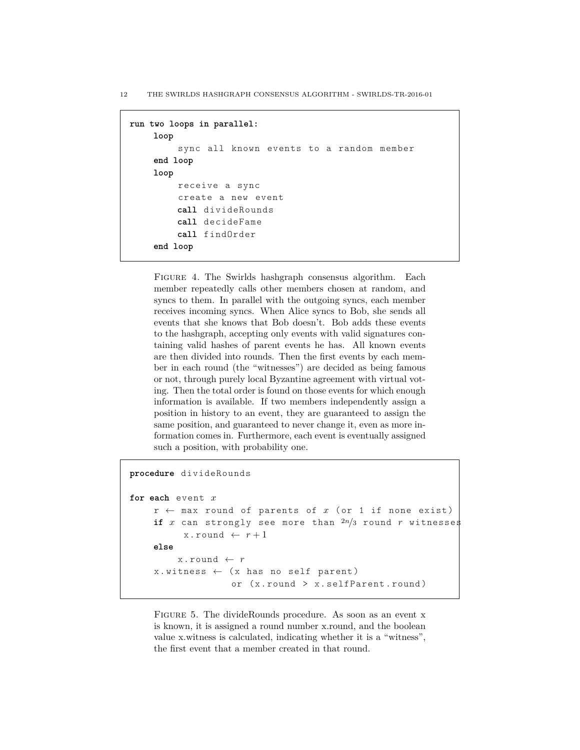```
run two loops in parallel:
    loop
         sync all known events to a random member
    end loop
    loop
         receive a sync
         create a new event
         call divideRounds
         call decideFame
         call findOrder
    end loop
```
FIGURE 4. The Swirlds hashgraph consensus algorithm. Each member repeatedly calls other members chosen at random, and syncs to them. In parallel with the outgoing syncs, each member receives incoming syncs. When Alice syncs to Bob, she sends all events that she knows that Bob doesn't. Bob adds these events to the hashgraph, accepting only events with valid signatures containing valid hashes of parent events he has. All known events are then divided into rounds. Then the first events by each member in each round (the "witnesses") are decided as being famous or not, through purely local Byzantine agreement with virtual voting. Then the total order is found on those events for which enough information is available. If two members independently assign a position in history to an event, they are guaranteed to assign the same position, and guaranteed to never change it, even as more information comes in. Furthermore, each event is eventually assigned such a position, with probability one.

```
procedure divideRounds
for each event x
    r \leftarrow max round of parents of x (or 1 if none exist)
    if x can strongly see more than 2n/3 round r witnesses
           x round \leftarrow r+1else
         x. round \leftarrow rx. witness \leftarrow (x has no self parent)
                    or (x. round > x. selfParent. round)
```
FIGURE 5. The divideRounds procedure. As soon as an event x is known, it is assigned a round number x.round, and the boolean value x.witness is calculated, indicating whether it is a "witness", the first event that a member created in that round.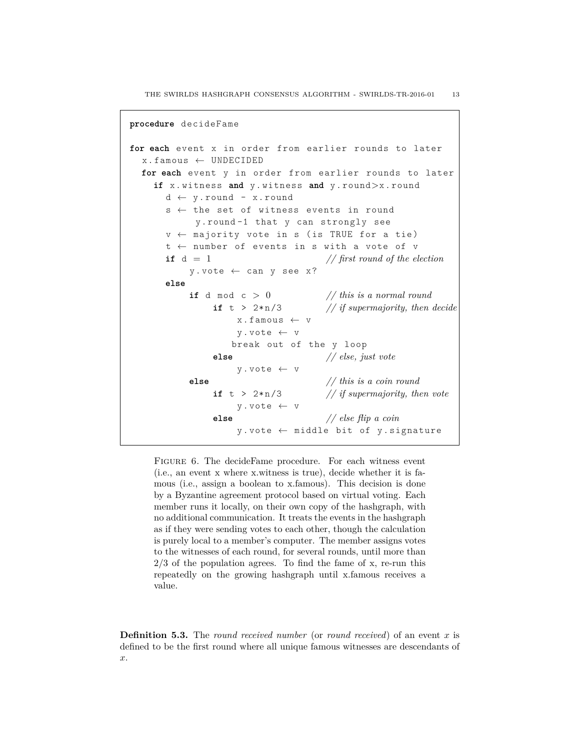```
procedure decideFame
for each event x in order from earlier rounds to later
  x. famous \leftarrow UNDECIDED
  for each event y in order from earlier rounds to later
    if x . witness and y . witness and y . round>x . round
      d \leftarrow y. round - x. round
      s ← the set of witness events in round
            y . round -1 that y can strongly see
      v \leftarrow majority vote in s (is TRUE for a tie)
      t ← number of events in s with a vote of v
      if d = 1 // first round of the election
           y. vote \leftarrow can y see x?
      else
           if d mod c > 0 // this is a normal round
               if t > 2 \cdot n/3 // if supermajority, then decide
                   x . famous \leftarrow v
                   y . vote ← v
                  break out of the y loop
               else // else, just vote
                   y . vote ← v
           else // this is a coin round
               if t > 2*n/3 // if supermajority, then vote
                   y . vote ← v
               else // else flip a coin
                   y . vote ← middle bit of y . signature
```
FIGURE 6. The decideFame procedure. For each witness event (i.e., an event x where x.witness is true), decide whether it is famous (i.e., assign a boolean to x.famous). This decision is done by a Byzantine agreement protocol based on virtual voting. Each member runs it locally, on their own copy of the hashgraph, with no additional communication. It treats the events in the hashgraph as if they were sending votes to each other, though the calculation is purely local to a member's computer. The member assigns votes to the witnesses of each round, for several rounds, until more than  $2/3$  of the population agrees. To find the fame of x, re-run this repeatedly on the growing hashgraph until x.famous receives a value.

**Definition 5.3.** The *round received number* (or *round received*) of an event *x* is defined to be the first round where all unique famous witnesses are descendants of *x*.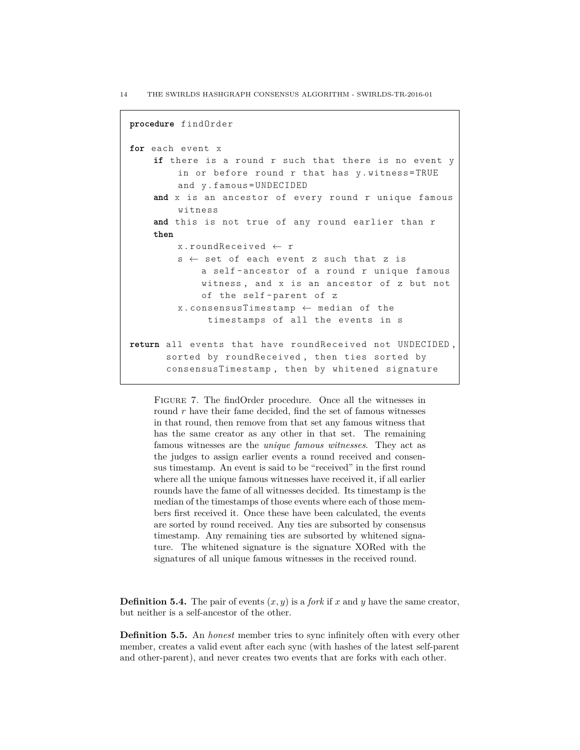```
procedure findOrder
for each event x
    if there is a round r such that there is no event y
        in or before round r that has y. witness=TRUE
        and y . famous = UNDECIDED
    and x is an ancestor of every round r unique famous
        witness
    and this is not true of any round earlier than r
    then
        x . roundReceived ← r
        s \leftarrow set of each event z such that z is
             a self - ancestor of a round r unique famous
             witness , and x is an ancestor of z but not
             of the self - parent of z
        x . consensusTimestamp ← median of the
              timestamps of all the events in s
return all events that have roundReceived not UNDECIDED ,
      sorted by roundReceived , then ties sorted by
      consensusTimestamp , then by whitened signature
```
FIGURE 7. The find Order procedure. Once all the witnesses in round *r* have their fame decided, find the set of famous witnesses in that round, then remove from that set any famous witness that has the same creator as any other in that set. The remaining famous witnesses are the *unique famous witnesses*. They act as the judges to assign earlier events a round received and consensus timestamp. An event is said to be "received" in the first round where all the unique famous witnesses have received it, if all earlier rounds have the fame of all witnesses decided. Its timestamp is the median of the timestamps of those events where each of those members first received it. Once these have been calculated, the events are sorted by round received. Any ties are subsorted by consensus timestamp. Any remaining ties are subsorted by whitened signature. The whitened signature is the signature XORed with the signatures of all unique famous witnesses in the received round.

**Definition 5.4.** The pair of events  $(x, y)$  is a *fork* if *x* and *y* have the same creator, but neither is a self-ancestor of the other.

**Definition 5.5.** An *honest* member tries to sync infinitely often with every other member, creates a valid event after each sync (with hashes of the latest self-parent and other-parent), and never creates two events that are forks with each other.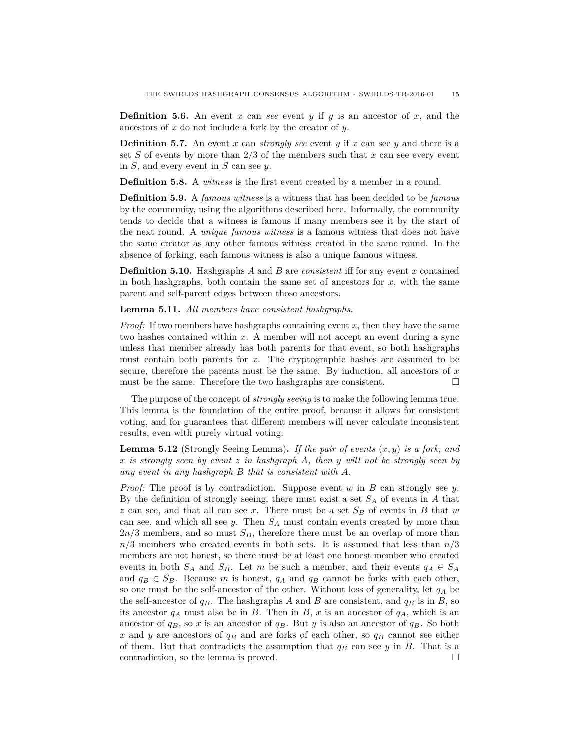**Definition 5.6.** An event *x* can *see* event *y* if *y* is an ancestor of *x*, and the ancestors of *x* do not include a fork by the creator of *y*.

**Definition 5.7.** An event *x* can *strongly see* event *y* if *x* can see *y* and there is a set *S* of events by more than 2/3 of the members such that *x* can see every event in *S*, and every event in *S* can see *y*.

**Definition 5.8.** A *witness* is the first event created by a member in a round.

**Definition 5.9.** A *famous witness* is a witness that has been decided to be *famous* by the community, using the algorithms described here. Informally, the community tends to decide that a witness is famous if many members see it by the start of the next round. A *unique famous witness* is a famous witness that does not have the same creator as any other famous witness created in the same round. In the absence of forking, each famous witness is also a unique famous witness.

**Definition 5.10.** Hashgraphs *A* and *B* are *consistent* iff for any event *x* contained in both hashgraphs, both contain the same set of ancestors for  $x$ , with the same parent and self-parent edges between those ancestors.

**Lemma 5.11.** *All members have consistent hashgraphs.*

*Proof:* If two members have hashgraphs containing event *x*, then they have the same two hashes contained within *x*. A member will not accept an event during a sync unless that member already has both parents for that event, so both hashgraphs must contain both parents for *x*. The cryptographic hashes are assumed to be secure, therefore the parents must be the same. By induction, all ancestors of *x* must be the same. Therefore the two hashgraphs are consistent.  $\Box$ 

The purpose of the concept of *strongly seeing* is to make the following lemma true. This lemma is the foundation of the entire proof, because it allows for consistent voting, and for guarantees that different members will never calculate inconsistent results, even with purely virtual voting.

**Lemma 5.12** (Strongly Seeing Lemma)**.** *If the pair of events* (*x, y*) *is a fork, and x is strongly seen by event z in hashgraph A, then y will not be strongly seen by any event in any hashgraph B that is consistent with A.*

*Proof:* The proof is by contradiction. Suppose event *w* in *B* can strongly see *y*. By the definition of strongly seeing, there must exist a set *S<sup>A</sup>* of events in *A* that *z* can see, and that all can see *x*. There must be a set *S<sup>B</sup>* of events in *B* that *w* can see, and which all see *y*. Then *S<sup>A</sup>* must contain events created by more than 2*n/*3 members, and so must *SB*, therefore there must be an overlap of more than *n/*3 members who created events in both sets. It is assumed that less than *n/*3 members are not honest, so there must be at least one honest member who created events in both  $S_A$  and  $S_B$ . Let *m* be such a member, and their events  $q_A \in S_A$ and  $q_B \in S_B$ . Because *m* is honest,  $q_A$  and  $q_B$  cannot be forks with each other, so one must be the self-ancestor of the other. Without loss of generality, let *q<sup>A</sup>* be the self-ancestor of  $q_B$ . The hashgraphs *A* and *B* are consistent, and  $q_B$  is in *B*, so its ancestor  $q_A$  must also be in *B*. Then in *B*, *x* is an ancestor of  $q_A$ , which is an ancestor of  $q_B$ , so x is an ancestor of  $q_B$ . But y is also an ancestor of  $q_B$ . So both *x* and *y* are ancestors of *q<sup>B</sup>* and are forks of each other, so *q<sup>B</sup>* cannot see either of them. But that contradicts the assumption that  $q_B$  can see *y* in *B*. That is a contradiction, so the lemma is proved.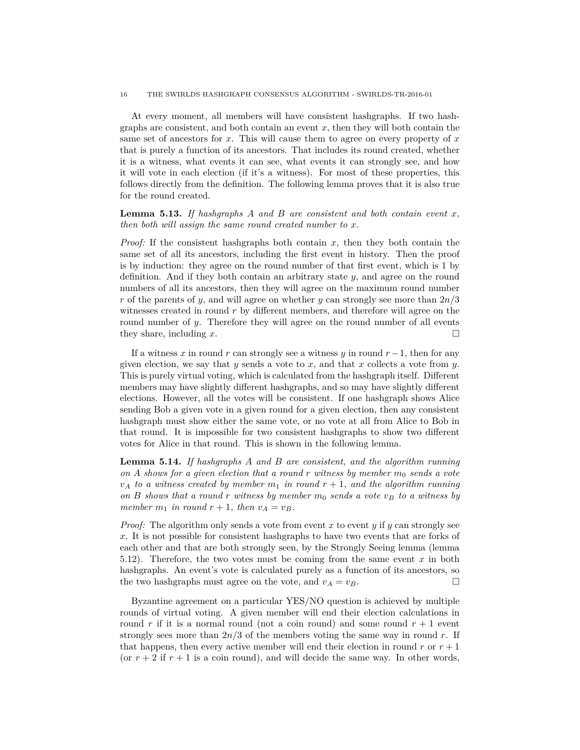#### 16 THE SWIRLDS HASHGRAPH CONSENSUS ALGORITHM - SWIRLDS-TR-2016-01

At every moment, all members will have consistent hashgraphs. If two hashgraphs are consistent, and both contain an event  $x$ , then they will both contain the same set of ancestors for *x*. This will cause them to agree on every property of *x* that is purely a function of its ancestors. That includes its round created, whether it is a witness, what events it can see, what events it can strongly see, and how it will vote in each election (if it's a witness). For most of these properties, this follows directly from the definition. The following lemma proves that it is also true for the round created.

**Lemma 5.13.** *If hashgraphs A and B are consistent and both contain event x, then both will assign the same round created number to x.*

*Proof:* If the consistent hashgraphs both contain *x*, then they both contain the same set of all its ancestors, including the first event in history. Then the proof is by induction: they agree on the round number of that first event, which is 1 by definition. And if they both contain an arbitrary state *y*, and agree on the round numbers of all its ancestors, then they will agree on the maximum round number *r* of the parents of *y*, and will agree on whether *y* can strongly see more than 2*n/*3 witnesses created in round *r* by different members, and therefore will agree on the round number of *y*. Therefore they will agree on the round number of all events they share, including  $x$ .

If a witness *x* in round *r* can strongly see a witness *y* in round  $r-1$ , then for any given election, we say that *y* sends a vote to *x*, and that *x* collects a vote from *y*. This is purely virtual voting, which is calculated from the hashgraph itself. Different members may have slightly different hashgraphs, and so may have slightly different elections. However, all the votes will be consistent. If one hashgraph shows Alice sending Bob a given vote in a given round for a given election, then any consistent hashgraph must show either the same vote, or no vote at all from Alice to Bob in that round. It is impossible for two consistent hashgraphs to show two different votes for Alice in that round. This is shown in the following lemma.

**Lemma 5.14.** *If hashgraphs A and B are consistent, and the algorithm running on A shows for a given election that a round r witness by member*  $m_0$  *sends a vote*  $v_A$  *to a witness created by member*  $m_1$  *in round*  $r + 1$ *, and the algorithm running on B shows that a round r witness by member m*<sup>0</sup> *sends a vote v<sup>B</sup> to a witness by member*  $m_1$  *in round*  $r + 1$ *, then*  $v_A = v_B$ *.* 

*Proof:* The algorithm only sends a vote from event *x* to event *y* if *y* can strongly see *x*. It is not possible for consistent hashgraphs to have two events that are forks of each other and that are both strongly seen, by the Strongly Seeing lemma (lemma 5.12). Therefore, the two votes must be coming from the same event *x* in both hashgraphs. An event's vote is calculated purely as a function of its ancestors, so the two hashgraphs must agree on the vote, and  $v_A = v_B$ .

Byzantine agreement on a particular YES/NO question is achieved by multiple rounds of virtual voting. A given member will end their election calculations in round  $r$  if it is a normal round (not a coin round) and some round  $r + 1$  event strongly sees more than 2*n/*3 of the members voting the same way in round *r*. If that happens, then every active member will end their election in round  $r$  or  $r + 1$ (or  $r + 2$  if  $r + 1$  is a coin round), and will decide the same way. In other words,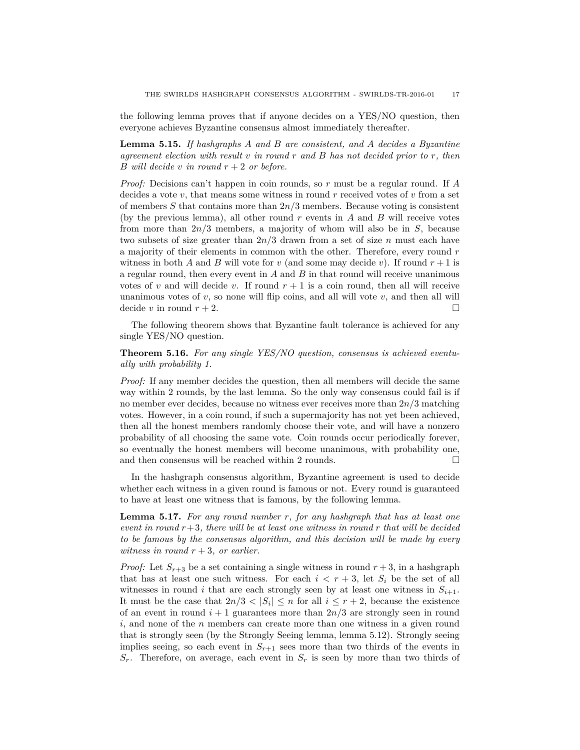the following lemma proves that if anyone decides on a YES/NO question, then everyone achieves Byzantine consensus almost immediately thereafter.

**Lemma 5.15.** *If hashgraphs A and B are consistent, and A decides a Byzantine agreement election with result v in round r and B has not decided prior to r, then B will decide v in round*  $r + 2$  *or before.* 

*Proof:* Decisions can't happen in coin rounds, so *r* must be a regular round. If *A* decides a vote *v*, that means some witness in round *r* received votes of *v* from a set of members *S* that contains more than 2*n/*3 members. Because voting is consistent (by the previous lemma), all other round *r* events in *A* and *B* will receive votes from more than 2*n/*3 members, a majority of whom will also be in *S*, because two subsets of size greater than 2*n/*3 drawn from a set of size *n* must each have a majority of their elements in common with the other. Therefore, every round *r* witness in both *A* and *B* will vote for *v* (and some may decide *v*). If round  $r + 1$  is a regular round, then every event in *A* and *B* in that round will receive unanimous votes of *v* and will decide *v*. If round  $r + 1$  is a coin round, then all will receive unanimous votes of  $v$ , so none will flip coins, and all will vote  $v$ , and then all will decide *v* in round  $r + 2$ .

The following theorem shows that Byzantine fault tolerance is achieved for any single YES/NO question.

## **Theorem 5.16.** *For any single YES/NO question, consensus is achieved eventually with probability 1.*

*Proof:* If any member decides the question, then all members will decide the same way within 2 rounds, by the last lemma. So the only way consensus could fail is if no member ever decides, because no witness ever receives more than 2*n/*3 matching votes. However, in a coin round, if such a supermajority has not yet been achieved, then all the honest members randomly choose their vote, and will have a nonzero probability of all choosing the same vote. Coin rounds occur periodically forever, so eventually the honest members will become unanimous, with probability one, and then consensus will be reached within 2 rounds.  $\Box$ 

In the hashgraph consensus algorithm, Byzantine agreement is used to decide whether each witness in a given round is famous or not. Every round is guaranteed to have at least one witness that is famous, by the following lemma.

**Lemma 5.17.** *For any round number r, for any hashgraph that has at least one event in round r*+3*, there will be at least one witness in round r that will be decided to be famous by the consensus algorithm, and this decision will be made by every witness in round r* + 3*, or earlier.*

*Proof:* Let  $S_{r+3}$  be a set containing a single witness in round  $r+3$ , in a hashgraph that has at least one such witness. For each  $i < r + 3$ , let  $S_i$  be the set of all witnesses in round *i* that are each strongly seen by at least one witness in  $S_{i+1}$ . It must be the case that  $2n/3 < |S_i| \leq n$  for all  $i \leq r+2$ , because the existence of an event in round  $i + 1$  guarantees more than  $2n/3$  are strongly seen in round *i*, and none of the *n* members can create more than one witness in a given round that is strongly seen (by the Strongly Seeing lemma, lemma 5.12). Strongly seeing implies seeing, so each event in  $S_{r+1}$  sees more than two thirds of the events in *Sr*. Therefore, on average, each event in *S<sup>r</sup>* is seen by more than two thirds of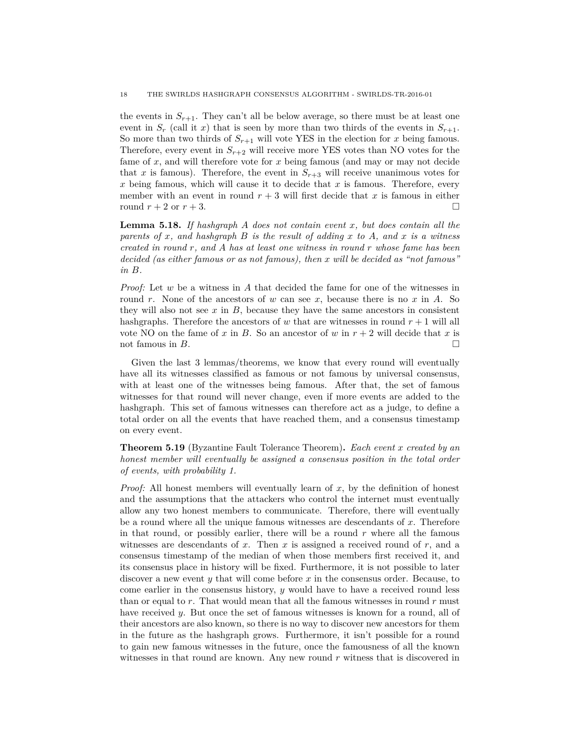the events in  $S_{r+1}$ . They can't all be below average, so there must be at least one event in  $S_r$  (call it *x*) that is seen by more than two thirds of the events in  $S_{r+1}$ . So more than two thirds of  $S_{r+1}$  will vote YES in the election for *x* being famous. Therefore, every event in  $S_{r+2}$  will receive more YES votes than NO votes for the fame of *x*, and will therefore vote for *x* being famous (and may or may not decide that *x* is famous). Therefore, the event in  $S_{r+3}$  will receive unanimous votes for *x* being famous, which will cause it to decide that *x* is famous. Therefore, every member with an event in round  $r + 3$  will first decide that x is famous in either round  $r + 2$  or  $r + 3$ .

**Lemma 5.18.** *If hashgraph A does not contain event x, but does contain all the parents of x, and hashgraph B is the result of adding x to A, and x is a witness created in round r, and A has at least one witness in round r whose fame has been decided (as either famous or as not famous), then x will be decided as "not famous" in B.*

*Proof:* Let *w* be a witness in *A* that decided the fame for one of the witnesses in round *r*. None of the ancestors of *w* can see *x*, because there is no *x* in *A*. So they will also not see *x* in *B*, because they have the same ancestors in consistent hashgraphs. Therefore the ancestors of  $w$  that are witnesses in round  $r + 1$  will all vote NO on the fame of x in B. So an ancestor of w in  $r + 2$  will decide that x is not famous in  $B$ .

Given the last 3 lemmas/theorems, we know that every round will eventually have all its witnesses classified as famous or not famous by universal consensus, with at least one of the witnesses being famous. After that, the set of famous witnesses for that round will never change, even if more events are added to the hashgraph. This set of famous witnesses can therefore act as a judge, to define a total order on all the events that have reached them, and a consensus timestamp on every event.

**Theorem 5.19** (Byzantine Fault Tolerance Theorem)**.** *Each event x created by an honest member will eventually be assigned a consensus position in the total order of events, with probability 1.*

*Proof:* All honest members will eventually learn of *x*, by the definition of honest and the assumptions that the attackers who control the internet must eventually allow any two honest members to communicate. Therefore, there will eventually be a round where all the unique famous witnesses are descendants of *x*. Therefore in that round, or possibly earlier, there will be a round *r* where all the famous witnesses are descendants of *x*. Then *x* is assigned a received round of *r*, and a consensus timestamp of the median of when those members first received it, and its consensus place in history will be fixed. Furthermore, it is not possible to later discover a new event *y* that will come before *x* in the consensus order. Because, to come earlier in the consensus history, *y* would have to have a received round less than or equal to *r*. That would mean that all the famous witnesses in round *r* must have received *y*. But once the set of famous witnesses is known for a round, all of their ancestors are also known, so there is no way to discover new ancestors for them in the future as the hashgraph grows. Furthermore, it isn't possible for a round to gain new famous witnesses in the future, once the famousness of all the known witnesses in that round are known. Any new round *r* witness that is discovered in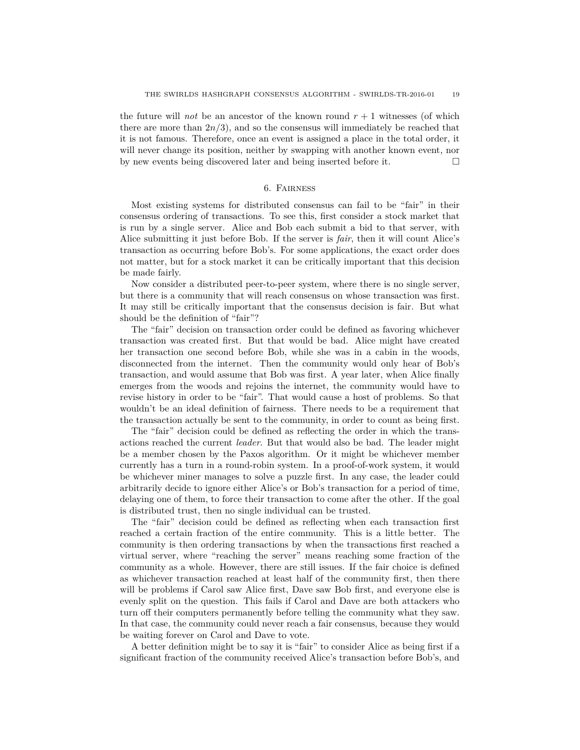the future will *not* be an ancestor of the known round  $r + 1$  witnesses (of which there are more than  $2n/3$ , and so the consensus will immediately be reached that it is not famous. Therefore, once an event is assigned a place in the total order, it will never change its position, neither by swapping with another known event, nor by new events being discovered later and being inserted before it.

## 6. Fairness

Most existing systems for distributed consensus can fail to be "fair" in their consensus ordering of transactions. To see this, first consider a stock market that is run by a single server. Alice and Bob each submit a bid to that server, with Alice submitting it just before Bob. If the server is *fair*, then it will count Alice's transaction as occurring before Bob's. For some applications, the exact order does not matter, but for a stock market it can be critically important that this decision be made fairly.

Now consider a distributed peer-to-peer system, where there is no single server, but there is a community that will reach consensus on whose transaction was first. It may still be critically important that the consensus decision is fair. But what should be the definition of "fair"?

The "fair" decision on transaction order could be defined as favoring whichever transaction was created first. But that would be bad. Alice might have created her transaction one second before Bob, while she was in a cabin in the woods, disconnected from the internet. Then the community would only hear of Bob's transaction, and would assume that Bob was first. A year later, when Alice finally emerges from the woods and rejoins the internet, the community would have to revise history in order to be "fair". That would cause a host of problems. So that wouldn't be an ideal definition of fairness. There needs to be a requirement that the transaction actually be sent to the community, in order to count as being first.

The "fair" decision could be defined as reflecting the order in which the transactions reached the current *leader*. But that would also be bad. The leader might be a member chosen by the Paxos algorithm. Or it might be whichever member currently has a turn in a round-robin system. In a proof-of-work system, it would be whichever miner manages to solve a puzzle first. In any case, the leader could arbitrarily decide to ignore either Alice's or Bob's transaction for a period of time, delaying one of them, to force their transaction to come after the other. If the goal is distributed trust, then no single individual can be trusted.

The "fair" decision could be defined as reflecting when each transaction first reached a certain fraction of the entire community. This is a little better. The community is then ordering transactions by when the transactions first reached a virtual server, where "reaching the server" means reaching some fraction of the community as a whole. However, there are still issues. If the fair choice is defined as whichever transaction reached at least half of the community first, then there will be problems if Carol saw Alice first, Dave saw Bob first, and everyone else is evenly split on the question. This fails if Carol and Dave are both attackers who turn off their computers permanently before telling the community what they saw. In that case, the community could never reach a fair consensus, because they would be waiting forever on Carol and Dave to vote.

A better definition might be to say it is "fair" to consider Alice as being first if a significant fraction of the community received Alice's transaction before Bob's, and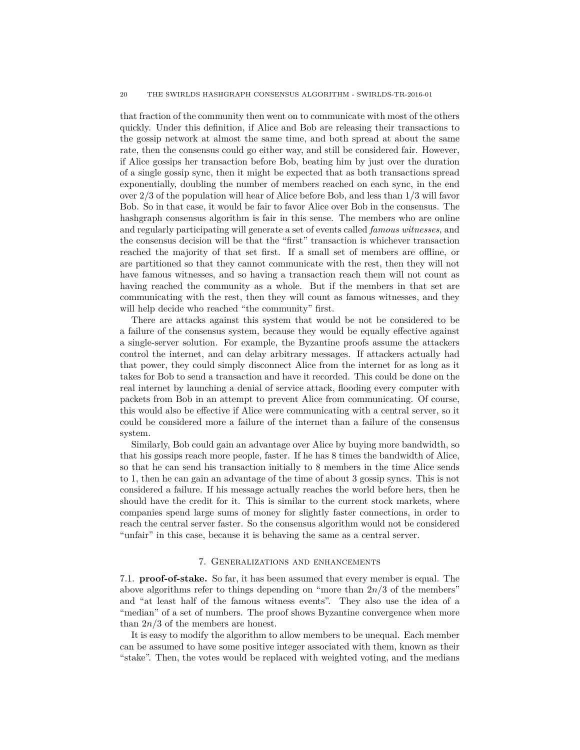#### 20 THE SWIRLDS HASHGRAPH CONSENSUS ALGORITHM - SWIRLDS-TR-2016-01

that fraction of the community then went on to communicate with most of the others quickly. Under this definition, if Alice and Bob are releasing their transactions to the gossip network at almost the same time, and both spread at about the same rate, then the consensus could go either way, and still be considered fair. However, if Alice gossips her transaction before Bob, beating him by just over the duration of a single gossip sync, then it might be expected that as both transactions spread exponentially, doubling the number of members reached on each sync, in the end over 2*/*3 of the population will hear of Alice before Bob, and less than 1*/*3 will favor Bob. So in that case, it would be fair to favor Alice over Bob in the consensus. The hashgraph consensus algorithm is fair in this sense. The members who are online and regularly participating will generate a set of events called *famous witnesses*, and the consensus decision will be that the "first" transaction is whichever transaction reached the majority of that set first. If a small set of members are offline, or are partitioned so that they cannot communicate with the rest, then they will not have famous witnesses, and so having a transaction reach them will not count as having reached the community as a whole. But if the members in that set are communicating with the rest, then they will count as famous witnesses, and they will help decide who reached "the community" first.

There are attacks against this system that would be not be considered to be a failure of the consensus system, because they would be equally effective against a single-server solution. For example, the Byzantine proofs assume the attackers control the internet, and can delay arbitrary messages. If attackers actually had that power, they could simply disconnect Alice from the internet for as long as it takes for Bob to send a transaction and have it recorded. This could be done on the real internet by launching a denial of service attack, flooding every computer with packets from Bob in an attempt to prevent Alice from communicating. Of course, this would also be effective if Alice were communicating with a central server, so it could be considered more a failure of the internet than a failure of the consensus system.

Similarly, Bob could gain an advantage over Alice by buying more bandwidth, so that his gossips reach more people, faster. If he has 8 times the bandwidth of Alice, so that he can send his transaction initially to 8 members in the time Alice sends to 1, then he can gain an advantage of the time of about 3 gossip syncs. This is not considered a failure. If his message actually reaches the world before hers, then he should have the credit for it. This is similar to the current stock markets, where companies spend large sums of money for slightly faster connections, in order to reach the central server faster. So the consensus algorithm would not be considered "unfair" in this case, because it is behaving the same as a central server.

## 7. Generalizations and enhancements

7.1. **proof-of-stake.** So far, it has been assumed that every member is equal. The above algorithms refer to things depending on "more than  $2n/3$  of the members" and "at least half of the famous witness events". They also use the idea of a "median" of a set of numbers. The proof shows Byzantine convergence when more than 2*n/*3 of the members are honest.

It is easy to modify the algorithm to allow members to be unequal. Each member can be assumed to have some positive integer associated with them, known as their "stake". Then, the votes would be replaced with weighted voting, and the medians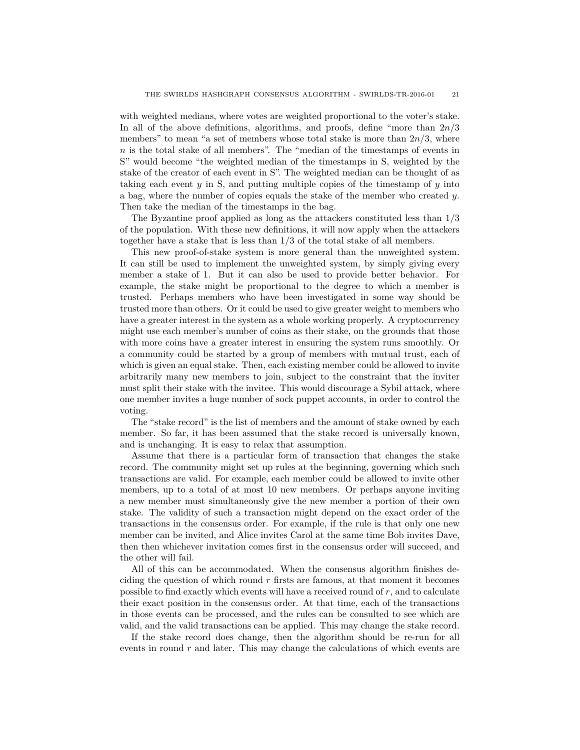with weighted medians, where votes are weighted proportional to the voter's stake. In all of the above definitions, algorithms, and proofs, define "more than 2*n/*3 members" to mean "a set of members whose total stake is more than  $2n/3$ , where *n* is the total stake of all members". The "median of the timestamps of events in S" would become "the weighted median of the timestamps in S, weighted by the stake of the creator of each event in S". The weighted median can be thought of as taking each event *y* in S, and putting multiple copies of the timestamp of *y* into a bag, where the number of copies equals the stake of the member who created *y*. Then take the median of the timestamps in the bag.

The Byzantine proof applied as long as the attackers constituted less than 1*/*3 of the population. With these new definitions, it will now apply when the attackers together have a stake that is less than 1*/*3 of the total stake of all members.

This new proof-of-stake system is more general than the unweighted system. It can still be used to implement the unweighted system, by simply giving every member a stake of 1. But it can also be used to provide better behavior. For example, the stake might be proportional to the degree to which a member is trusted. Perhaps members who have been investigated in some way should be trusted more than others. Or it could be used to give greater weight to members who have a greater interest in the system as a whole working properly. A cryptocurrency might use each member's number of coins as their stake, on the grounds that those with more coins have a greater interest in ensuring the system runs smoothly. Or a community could be started by a group of members with mutual trust, each of which is given an equal stake. Then, each existing member could be allowed to invite arbitrarily many new members to join, subject to the constraint that the inviter must split their stake with the invitee. This would discourage a Sybil attack, where one member invites a huge number of sock puppet accounts, in order to control the voting.

The "stake record" is the list of members and the amount of stake owned by each member. So far, it has been assumed that the stake record is universally known, and is unchanging. It is easy to relax that assumption.

Assume that there is a particular form of transaction that changes the stake record. The community might set up rules at the beginning, governing which such transactions are valid. For example, each member could be allowed to invite other members, up to a total of at most 10 new members. Or perhaps anyone inviting a new member must simultaneously give the new member a portion of their own stake. The validity of such a transaction might depend on the exact order of the transactions in the consensus order. For example, if the rule is that only one new member can be invited, and Alice invites Carol at the same time Bob invites Dave, then then whichever invitation comes first in the consensus order will succeed, and the other will fail.

All of this can be accommodated. When the consensus algorithm finishes deciding the question of which round *r* firsts are famous, at that moment it becomes possible to find exactly which events will have a received round of *r*, and to calculate their exact position in the consensus order. At that time, each of the transactions in those events can be processed, and the rules can be consulted to see which are valid, and the valid transactions can be applied. This may change the stake record.

If the stake record does change, then the algorithm should be re-run for all events in round *r* and later. This may change the calculations of which events are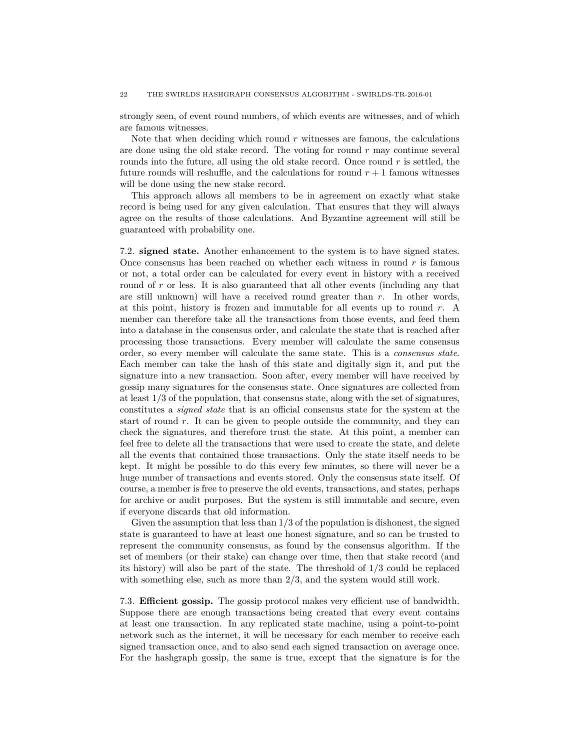strongly seen, of event round numbers, of which events are witnesses, and of which are famous witnesses.

Note that when deciding which round  $r$  witnesses are famous, the calculations are done using the old stake record. The voting for round *r* may continue several rounds into the future, all using the old stake record. Once round *r* is settled, the future rounds will reshuffle, and the calculations for round  $r + 1$  famous witnesses will be done using the new stake record.

This approach allows all members to be in agreement on exactly what stake record is being used for any given calculation. That ensures that they will always agree on the results of those calculations. And Byzantine agreement will still be guaranteed with probability one.

7.2. **signed state.** Another enhancement to the system is to have signed states. Once consensus has been reached on whether each witness in round *r* is famous or not, a total order can be calculated for every event in history with a received round of r or less. It is also guaranteed that all other events (including any that are still unknown) will have a received round greater than *r*. In other words, at this point, history is frozen and immutable for all events up to round *r*. A member can therefore take all the transactions from those events, and feed them into a database in the consensus order, and calculate the state that is reached after processing those transactions. Every member will calculate the same consensus order, so every member will calculate the same state. This is a *consensus state*. Each member can take the hash of this state and digitally sign it, and put the signature into a new transaction. Soon after, every member will have received by gossip many signatures for the consensus state. Once signatures are collected from at least 1/3 of the population, that consensus state, along with the set of signatures, constitutes a *signed state* that is an official consensus state for the system at the start of round *r*. It can be given to people outside the community, and they can check the signatures, and therefore trust the state. At this point, a member can feel free to delete all the transactions that were used to create the state, and delete all the events that contained those transactions. Only the state itself needs to be kept. It might be possible to do this every few minutes, so there will never be a huge number of transactions and events stored. Only the consensus state itself. Of course, a member is free to preserve the old events, transactions, and states, perhaps for archive or audit purposes. But the system is still immutable and secure, even if everyone discards that old information.

Given the assumption that less than  $1/3$  of the population is dishonest, the signed state is guaranteed to have at least one honest signature, and so can be trusted to represent the community consensus, as found by the consensus algorithm. If the set of members (or their stake) can change over time, then that stake record (and its history) will also be part of the state. The threshold of 1/3 could be replaced with something else, such as more than  $2/3$ , and the system would still work.

7.3. **Efficient gossip.** The gossip protocol makes very efficient use of bandwidth. Suppose there are enough transactions being created that every event contains at least one transaction. In any replicated state machine, using a point-to-point network such as the internet, it will be necessary for each member to receive each signed transaction once, and to also send each signed transaction on average once. For the hashgraph gossip, the same is true, except that the signature is for the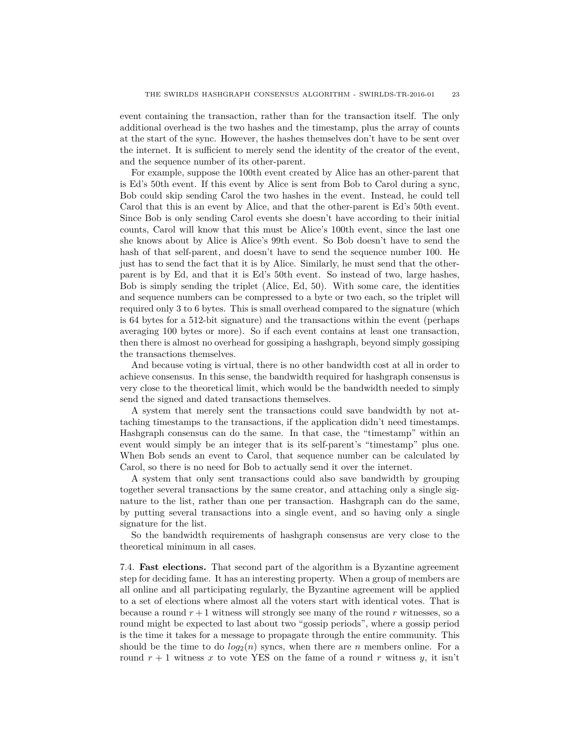event containing the transaction, rather than for the transaction itself. The only additional overhead is the two hashes and the timestamp, plus the array of counts at the start of the sync. However, the hashes themselves don't have to be sent over the internet. It is sufficient to merely send the identity of the creator of the event, and the sequence number of its other-parent.

For example, suppose the 100th event created by Alice has an other-parent that is Ed's 50th event. If this event by Alice is sent from Bob to Carol during a sync, Bob could skip sending Carol the two hashes in the event. Instead, he could tell Carol that this is an event by Alice, and that the other-parent is Ed's 50th event. Since Bob is only sending Carol events she doesn't have according to their initial counts, Carol will know that this must be Alice's 100th event, since the last one she knows about by Alice is Alice's 99th event. So Bob doesn't have to send the hash of that self-parent, and doesn't have to send the sequence number 100. He just has to send the fact that it is by Alice. Similarly, he must send that the otherparent is by Ed, and that it is Ed's 50th event. So instead of two, large hashes, Bob is simply sending the triplet (Alice, Ed, 50). With some care, the identities and sequence numbers can be compressed to a byte or two each, so the triplet will required only 3 to 6 bytes. This is small overhead compared to the signature (which is 64 bytes for a 512-bit signature) and the transactions within the event (perhaps averaging 100 bytes or more). So if each event contains at least one transaction, then there is almost no overhead for gossiping a hashgraph, beyond simply gossiping the transactions themselves.

And because voting is virtual, there is no other bandwidth cost at all in order to achieve consensus. In this sense, the bandwidth required for hashgraph consensus is very close to the theoretical limit, which would be the bandwidth needed to simply send the signed and dated transactions themselves.

A system that merely sent the transactions could save bandwidth by not attaching timestamps to the transactions, if the application didn't need timestamps. Hashgraph consensus can do the same. In that case, the "timestamp" within an event would simply be an integer that is its self-parent's "timestamp" plus one. When Bob sends an event to Carol, that sequence number can be calculated by Carol, so there is no need for Bob to actually send it over the internet.

A system that only sent transactions could also save bandwidth by grouping together several transactions by the same creator, and attaching only a single signature to the list, rather than one per transaction. Hashgraph can do the same, by putting several transactions into a single event, and so having only a single signature for the list.

So the bandwidth requirements of hashgraph consensus are very close to the theoretical minimum in all cases.

7.4. **Fast elections.** That second part of the algorithm is a Byzantine agreement step for deciding fame. It has an interesting property. When a group of members are all online and all participating regularly, the Byzantine agreement will be applied to a set of elections where almost all the voters start with identical votes. That is because a round  $r + 1$  witness will strongly see many of the round  $r$  witnesses, so a round might be expected to last about two "gossip periods", where a gossip period is the time it takes for a message to propagate through the entire community. This should be the time to do  $log_2(n)$  syncs, when there are *n* members online. For a round  $r + 1$  witness x to vote YES on the fame of a round r witness y, it isn't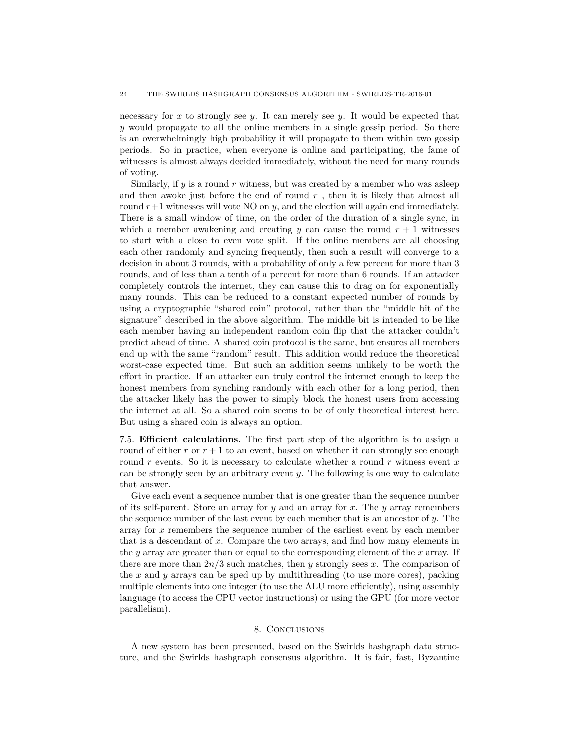necessary for *x* to strongly see *y*. It can merely see *y*. It would be expected that *y* would propagate to all the online members in a single gossip period. So there is an overwhelmingly high probability it will propagate to them within two gossip periods. So in practice, when everyone is online and participating, the fame of witnesses is almost always decided immediately, without the need for many rounds of voting.

Similarly, if  $y$  is a round  $r$  witness, but was created by a member who was asleep and then awoke just before the end of round *r* , then it is likely that almost all round  $r+1$  witnesses will vote NO on *y*, and the election will again end immediately. There is a small window of time, on the order of the duration of a single sync, in which a member awakening and creating  $y$  can cause the round  $r + 1$  witnesses to start with a close to even vote split. If the online members are all choosing each other randomly and syncing frequently, then such a result will converge to a decision in about 3 rounds, with a probability of only a few percent for more than 3 rounds, and of less than a tenth of a percent for more than 6 rounds. If an attacker completely controls the internet, they can cause this to drag on for exponentially many rounds. This can be reduced to a constant expected number of rounds by using a cryptographic "shared coin" protocol, rather than the "middle bit of the signature" described in the above algorithm. The middle bit is intended to be like each member having an independent random coin flip that the attacker couldn't predict ahead of time. A shared coin protocol is the same, but ensures all members end up with the same "random" result. This addition would reduce the theoretical worst-case expected time. But such an addition seems unlikely to be worth the effort in practice. If an attacker can truly control the internet enough to keep the honest members from synching randomly with each other for a long period, then the attacker likely has the power to simply block the honest users from accessing the internet at all. So a shared coin seems to be of only theoretical interest here. But using a shared coin is always an option.

7.5. **Efficient calculations.** The first part step of the algorithm is to assign a round of either  $r$  or  $r + 1$  to an event, based on whether it can strongly see enough round *r* events. So it is necessary to calculate whether a round *r* witness event *x* can be strongly seen by an arbitrary event *y*. The following is one way to calculate that answer.

Give each event a sequence number that is one greater than the sequence number of its self-parent. Store an array for *y* and an array for *x*. The *y* array remembers the sequence number of the last event by each member that is an ancestor of *y*. The array for *x* remembers the sequence number of the earliest event by each member that is a descendant of *x*. Compare the two arrays, and find how many elements in the *y* array are greater than or equal to the corresponding element of the *x* array. If there are more than 2*n/*3 such matches, then *y* strongly sees *x*. The comparison of the *x* and *y* arrays can be sped up by multithreading (to use more cores), packing multiple elements into one integer (to use the ALU more efficiently), using assembly language (to access the CPU vector instructions) or using the GPU (for more vector parallelism).

## 8. Conclusions

A new system has been presented, based on the Swirlds hashgraph data structure, and the Swirlds hashgraph consensus algorithm. It is fair, fast, Byzantine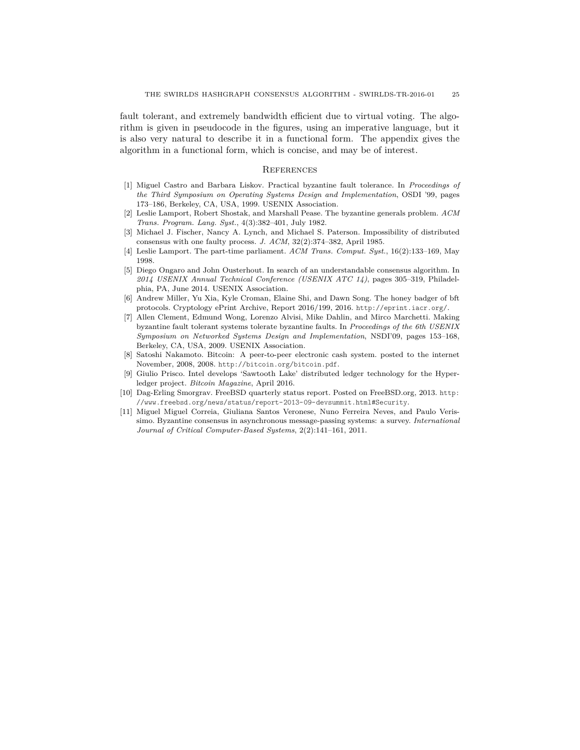fault tolerant, and extremely bandwidth efficient due to virtual voting. The algorithm is given in pseudocode in the figures, using an imperative language, but it is also very natural to describe it in a functional form. The appendix gives the algorithm in a functional form, which is concise, and may be of interest.

#### **REFERENCES**

- [1] Miguel Castro and Barbara Liskov. Practical byzantine fault tolerance. In *Proceedings of the Third Symposium on Operating Systems Design and Implementation*, OSDI '99, pages 173–186, Berkeley, CA, USA, 1999. USENIX Association.
- [2] Leslie Lamport, Robert Shostak, and Marshall Pease. The byzantine generals problem. *ACM Trans. Program. Lang. Syst.*, 4(3):382–401, July 1982.
- [3] Michael J. Fischer, Nancy A. Lynch, and Michael S. Paterson. Impossibility of distributed consensus with one faulty process. *J. ACM*, 32(2):374–382, April 1985.
- [4] Leslie Lamport. The part-time parliament. *ACM Trans. Comput. Syst.*, 16(2):133–169, May 1998.
- [5] Diego Ongaro and John Ousterhout. In search of an understandable consensus algorithm. In *2014 USENIX Annual Technical Conference (USENIX ATC 14)*, pages 305–319, Philadelphia, PA, June 2014. USENIX Association.
- [6] Andrew Miller, Yu Xia, Kyle Croman, Elaine Shi, and Dawn Song. The honey badger of bft protocols. Cryptology ePrint Archive, Report 2016/199, 2016. http://eprint.iacr.org/.
- [7] Allen Clement, Edmund Wong, Lorenzo Alvisi, Mike Dahlin, and Mirco Marchetti. Making byzantine fault tolerant systems tolerate byzantine faults. In *Proceedings of the 6th USENIX Symposium on Networked Systems Design and Implementation*, NSDI'09, pages 153–168, Berkeley, CA, USA, 2009. USENIX Association.
- [8] Satoshi Nakamoto. Bitcoin: A peer-to-peer electronic cash system. posted to the internet November, 2008, 2008. http://bitcoin.org/bitcoin.pdf.
- Giulio Prisco. Intel develops 'Sawtooth Lake' distributed ledger technology for the Hyperledger project. *Bitcoin Magazine*, April 2016.
- [10] Dag-Erling Smorgrav. FreeBSD quarterly status report. Posted on FreeBSD.org, 2013. http: //www.freebsd.org/news/status/report-2013-09-devsummit.html#Security.
- [11] Miguel Miguel Correia, Giuliana Santos Veronese, Nuno Ferreira Neves, and Paulo Verissimo. Byzantine consensus in asynchronous message-passing systems: a survey. *International Journal of Critical Computer-Based Systems*, 2(2):141–161, 2011.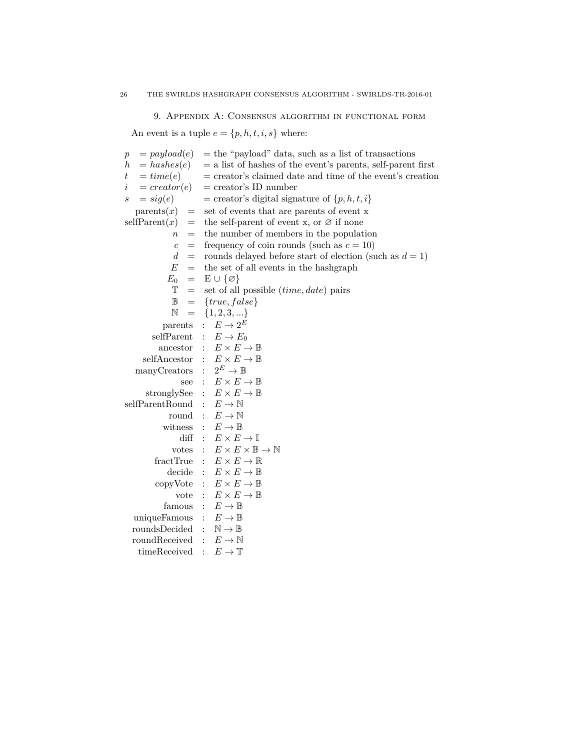9. Appendix A: Consensus algorithm in functional form

An event is a tuple  $e=\{p,h,t,i,s\}$  where:

| $=$ payload(e)<br>$\boldsymbol{p}$ | $=$ the "payload" data, such as a list of transactions         |
|------------------------------------|----------------------------------------------------------------|
| $=$ hashes(e)<br>$\hbar$           | $=$ a list of hashes of the event's parents, self-parent first |
| $= time(e)$<br>$\,t\,$             | $=$ creator's claimed date and time of the event's creation    |
| $= \text{creator}(e)$<br>i         | $=$ creator's ID number                                        |
| $= sig(e)$<br>$\boldsymbol{s}$     | = creator's digital signature of $\{p, h, t, i\}$              |
| $\text{parents}(x)$<br>$=$         | set of events that are parents of event x                      |
| selfParent(x)<br>$=$               | the self-parent of event x, or $\varnothing$ if none           |
| $=$<br>$\boldsymbol{n}$            | the number of members in the population                        |
| $\overline{c}$<br>$=$              | frequency of coin rounds (such as $c = 10$ )                   |
| $\boldsymbol{d}$<br>$=$            | rounds delayed before start of election (such as $d = 1$ )     |
| E<br>$=$                           | the set of all events in the hashgraph                         |
| $E_0$<br>$=$                       | $E \cup \{\varnothing\}$                                       |
| T<br>$=$                           | set of all possible ( <i>time</i> , <i>date</i> ) pairs        |
| $\mathbb B$<br>$=$                 | ${true, false}$                                                |
| $\mathbb N$<br>$=$                 | $\{1, 2, 3, \}$                                                |
| parents                            | $E \to 2^E$<br>$\mathbf{r}$                                    |
| selfParent                         | $\colon E \to E_0$                                             |
| ancestor                           | : $E \times E \rightarrow \mathbb{B}$                          |
|                                    | selfAncestor : $E \times E \rightarrow \mathbb{B}$             |
| manyCreators                       | : $2^E \rightarrow \mathbb{B}$                                 |
| see                                | : $E \times E \rightarrow \mathbb{B}$                          |
| stronglySee                        | : $E \times E \rightarrow \mathbb{B}$                          |
| selfParentRound                    | $E \to \mathbb{N}$                                             |
| round                              | $E \to \mathbb{N}$                                             |
| witness                            | $E\to\mathbb{B}$                                               |
| $\mathrm{diff}$                    | $E \times E \rightarrow \mathbb{I}$                            |
| votes                              | $E\times E\times \mathbb{B} \to \mathbb{N}$                    |
| fractTrue                          | $E \times E \rightarrow \mathbb{R}$                            |
| decide                             | $E \times E \rightarrow \mathbb{B}$<br>$\mathcal{L}$           |
| copyVote                           | $E\times E\to\mathbb{B}$<br>$\mathcal{L}$                      |
| vote                               | : $E \times E \rightarrow \mathbb{B}$                          |
| famous                             | $E\to\mathbb{B}$                                               |
| uniqueFamous                       | $E\to\mathbb{B}$                                               |
| roundsDecided                      | $\mathbb{N} \to \mathbb{B}$                                    |
| roundReceived                      | $\mathbf{r}$<br>$E \to \mathbb{N}$                             |
| timeReceived                       | $E \to \mathbb{T}$<br>$\bullet$                                |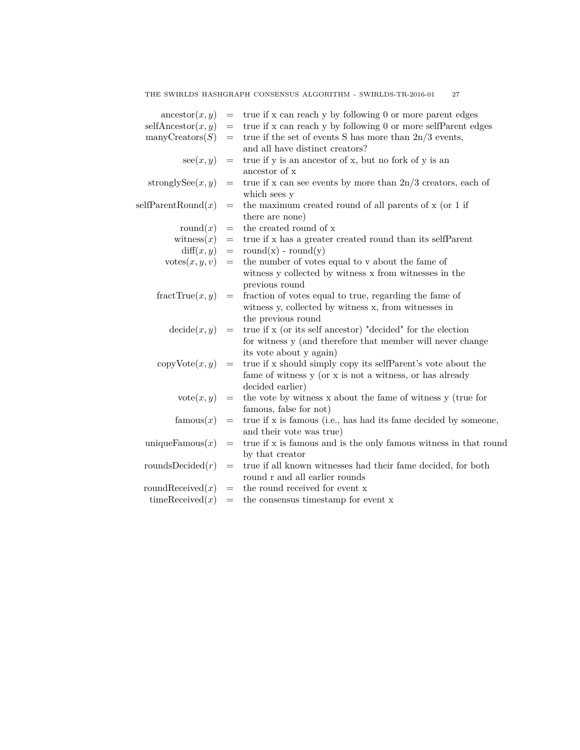| $\arccosar(x, y)$        | $=$               | true if x can reach y by following 0 or more parent edges        |
|--------------------------|-------------------|------------------------------------------------------------------|
| selfAncestor(x, y)       | $=$               | true if x can reach y by following 0 or more selfParent edges    |
| $\text{manyCreators}(S)$ | $=$               | true if the set of events S has more than $2n/3$ events,         |
|                          |                   | and all have distinct creators?                                  |
| $\sec(x, y)$             | $\!\!\!=\!\!\!\!$ | true if y is an ancestor of x, but no fork of y is an            |
|                          |                   | ancestor of x                                                    |
| stronglySee $(x, y)$     | $=$               | true if x can see events by more than $2n/3$ creators, each of   |
|                          |                   | which sees y                                                     |
| selfParentRound(x)       | $=$               | the maximum created round of all parents of x (or 1 if           |
|                          |                   | there are none)                                                  |
| round $(x)$              | $=$               | the created round of x                                           |
| witness $(x)$            | $=$               | true if x has a greater created round than its selfParent        |
| diff(x, y)               | $=$               | round $(x)$ - round $(y)$                                        |
| $\text{votes}(x, y, v)$  | $=$               | the number of votes equal to v about the fame of                 |
|                          |                   | witness y collected by witness x from witnesses in the           |
|                          |                   | previous round                                                   |
| fractTrue(x, y)          | $=$               | fraction of votes equal to true, regarding the fame of           |
|                          |                   | witness y, collected by witness x, from witnesses in             |
|                          |                   | the previous round                                               |
| $\text{decide}(x, y)$    | $=$               | true if x (or its self ancestor) "decided" for the election      |
|                          |                   | for witness y (and therefore that member will never change       |
|                          |                   | its vote about y again)                                          |
| $copy\text{Vote}(x, y)$  | $=$               | true if x should simply copy its selfParent's vote about the     |
|                          |                   | fame of witness y (or x is not a witness, or has already         |
|                          |                   | decided earlier)                                                 |
| $\mathrm{vote}(x, y)$    | $=$               | the vote by witness x about the fame of witness y (true for      |
|                          |                   | famous, false for not)                                           |
| famous $(x)$             | $=$               | true if x is famous (i.e., has had its fame decided by someone,  |
|                          |                   | and their vote was true)                                         |
| uniqueFamous $(x)$       | $=$               | true if x is famous and is the only famous witness in that round |
|                          |                   | by that creator                                                  |
| roundsDecided $(r)$      | $=$               | true if all known witnesses had their fame decided, for both     |
|                          |                   | round r and all earlier rounds                                   |
| roundReceived $(x)$      | $=$               | the round received for event x                                   |
| timeReceived(x)          | $=$               | the consensus timestamp for event x                              |
|                          |                   |                                                                  |